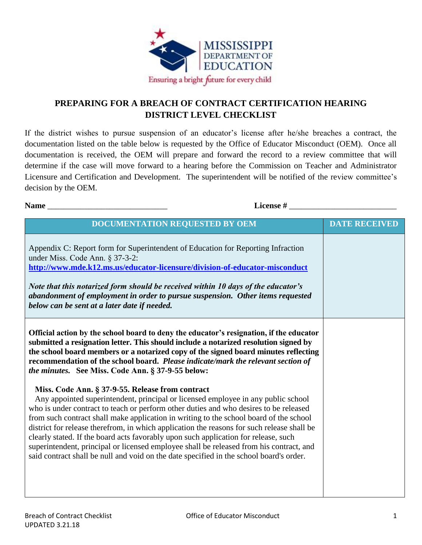

## **PREPARING FOR A BREACH OF CONTRACT CERTIFICATION HEARING DISTRICT LEVEL CHECKLIST**

If the district wishes to pursue suspension of an educator's license after he/she breaches a contract, the documentation listed on the table below is requested by the Office of Educator Misconduct (OEM). Once all documentation is received, the OEM will prepare and forward the record to a review committee that will determine if the case will move forward to a hearing before the Commission on Teacher and Administrator Licensure and Certification and Development. The superintendent will be notified of the review committee's decision by the OEM.

**Name** License #

| <b>DOCUMENTATION REQUESTED BY OEM</b>                                                                                                                                                                                                                                                                                                                                                                                                                                                                                                                                                                                                                                                               | <b>DATE RECEIVED</b> |
|-----------------------------------------------------------------------------------------------------------------------------------------------------------------------------------------------------------------------------------------------------------------------------------------------------------------------------------------------------------------------------------------------------------------------------------------------------------------------------------------------------------------------------------------------------------------------------------------------------------------------------------------------------------------------------------------------------|----------------------|
| Appendix C: Report form for Superintendent of Education for Reporting Infraction<br>under Miss. Code Ann. § 37-3-2:<br>http://www.mde.k12.ms.us/educator-licensure/division-of-educator-misconduct<br>Note that this notarized form should be received within 10 days of the educator's<br>abandonment of employment in order to pursue suspension. Other items requested<br>below can be sent at a later date if needed.                                                                                                                                                                                                                                                                           |                      |
| Official action by the school board to deny the educator's resignation, if the educator<br>submitted a resignation letter. This should include a notarized resolution signed by<br>the school board members or a notarized copy of the signed board minutes reflecting<br>recommendation of the school board. Please indicate/mark the relevant section of<br><i>the minutes.</i> See Miss. Code Ann. § 37-9-55 below:                                                                                                                                                                                                                                                                              |                      |
| Miss. Code Ann. § 37-9-55. Release from contract<br>Any appointed superintendent, principal or licensed employee in any public school<br>who is under contract to teach or perform other duties and who desires to be released<br>from such contract shall make application in writing to the school board of the school<br>district for release therefrom, in which application the reasons for such release shall be<br>clearly stated. If the board acts favorably upon such application for release, such<br>superintendent, principal or licensed employee shall be released from his contract, and<br>said contract shall be null and void on the date specified in the school board's order. |                      |